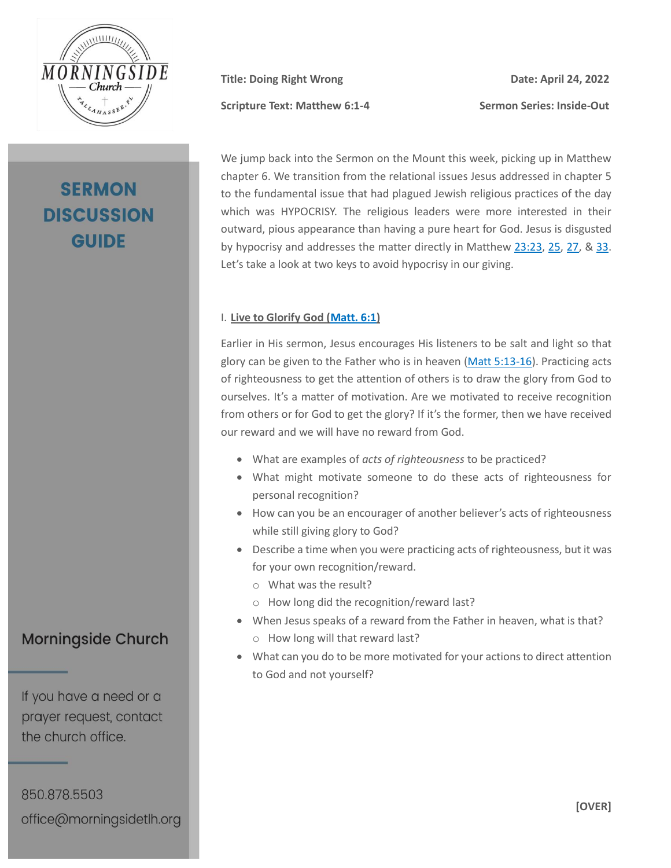

# **SERMON DISCUSSION GUIDE**

**Scripture Text: Matthew 6:1-4 Sermon Series: Inside-Out**

**Title: Doing Right Wrong Date: April 24, 2022**

We jump back into the Sermon on the Mount this week, picking up in Matthew chapter 6. We transition from the relational issues Jesus addressed in chapter 5 to the fundamental issue that had plagued Jewish religious practices of the day which was HYPOCRISY. The religious leaders were more interested in their outward, pious appearance than having a pure heart for God. Jesus is disgusted by hypocrisy and addresses the matter directly in Matthew [23:23,](https://my.bible.com/bible/100/MAT.23.23.nasb95) [25,](https://my.bible.com/bible/100/MAT.23.25.nasb95) [27,](https://my.bible.com/bible/100/MAT.23.27.nasb95) & [33.](https://my.bible.com/bible/100/MAT.23.33.nasb95) Let's take a look at two keys to avoid hypocrisy in our giving.

#### I. **Live to Glorify God [\(Matt. 6:1\)](https://my.bible.com/bible/100/MAT.6.1.nasb95)**

Earlier in His sermon, Jesus encourages His listeners to be salt and light so that glory can be given to the Father who is in heaven [\(Matt 5:13-16\)](https://my.bible.com/bible/100/MAT.5.13-16.nasb95). Practicing acts of righteousness to get the attention of others is to draw the glory from God to ourselves. It's a matter of motivation. Are we motivated to receive recognition from others or for God to get the glory? If it's the former, then we have received our reward and we will have no reward from God.

- What are examples of *acts of righteousness* to be practiced?
- What might motivate someone to do these acts of righteousness for personal recognition?
- How can you be an encourager of another believer's acts of righteousness while still giving glory to God?
- Describe a time when you were practicing acts of righteousness, but it was for your own recognition/reward.
	- o What was the result?
	- o How long did the recognition/reward last?
- When Jesus speaks of a reward from the Father in heaven, what is that? o How long will that reward last?
- What can you do to be more motivated for your actions to direct attention to God and not yourself?

### **Morningside Church**

If you have a need or a prayer request, contact the church office.

850.878.5503 office@morningsidetlh.org